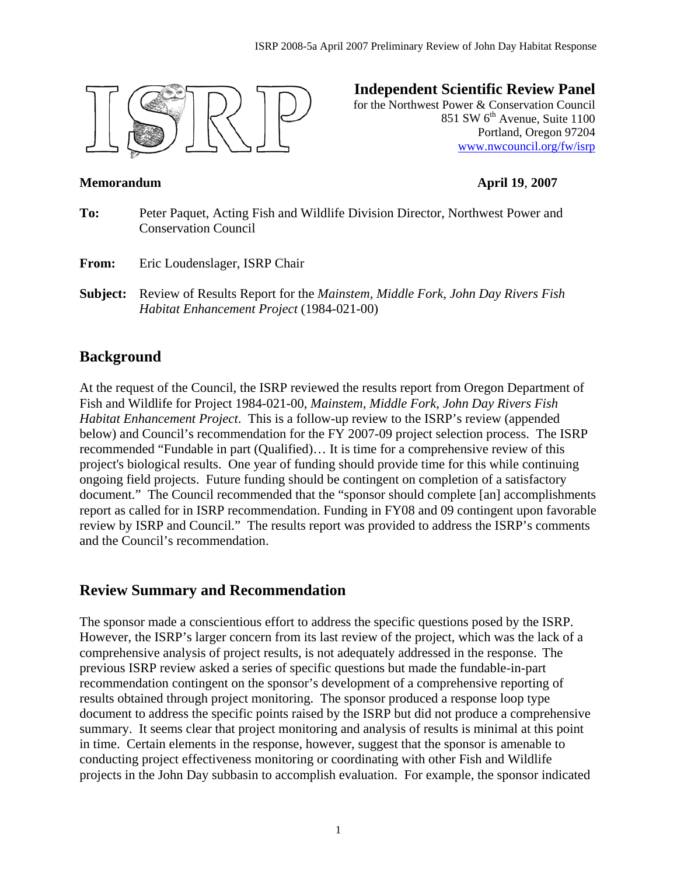

# **Independent Scientific Review Panel**

for the Northwest Power & Conservation Council 851 SW 6<sup>th</sup> Avenue, Suite 1100 Portland, Oregon 97204 www.nwcouncil.org/fw/isrp

#### **Memorandum April 19**, **2007**

**To:** Peter Paquet, Acting Fish and Wildlife Division Director, Northwest Power and Conservation Council **From:** Eric Loudenslager, ISRP Chair **Subject:** Review of Results Report for the *Mainstem, Middle Fork, John Day Rivers Fish* 

*Habitat Enhancement Project* (1984-021-00)

# **Background**

At the request of the Council, the ISRP reviewed the results report from Oregon Department of Fish and Wildlife for Project 1984-021-00, *Mainstem, Middle Fork, John Day Rivers Fish Habitat Enhancement Project*. This is a follow-up review to the ISRP's review (appended below) and Council's recommendation for the FY 2007-09 project selection process. The ISRP recommended "Fundable in part (Qualified)… It is time for a comprehensive review of this project's biological results. One year of funding should provide time for this while continuing ongoing field projects. Future funding should be contingent on completion of a satisfactory document." The Council recommended that the "sponsor should complete [an] accomplishments report as called for in ISRP recommendation. Funding in FY08 and 09 contingent upon favorable review by ISRP and Council." The results report was provided to address the ISRP's comments and the Council's recommendation.

## **Review Summary and Recommendation**

The sponsor made a conscientious effort to address the specific questions posed by the ISRP. However, the ISRP's larger concern from its last review of the project, which was the lack of a comprehensive analysis of project results, is not adequately addressed in the response. The previous ISRP review asked a series of specific questions but made the fundable-in-part recommendation contingent on the sponsor's development of a comprehensive reporting of results obtained through project monitoring. The sponsor produced a response loop type document to address the specific points raised by the ISRP but did not produce a comprehensive summary. It seems clear that project monitoring and analysis of results is minimal at this point in time. Certain elements in the response, however, suggest that the sponsor is amenable to conducting project effectiveness monitoring or coordinating with other Fish and Wildlife projects in the John Day subbasin to accomplish evaluation. For example, the sponsor indicated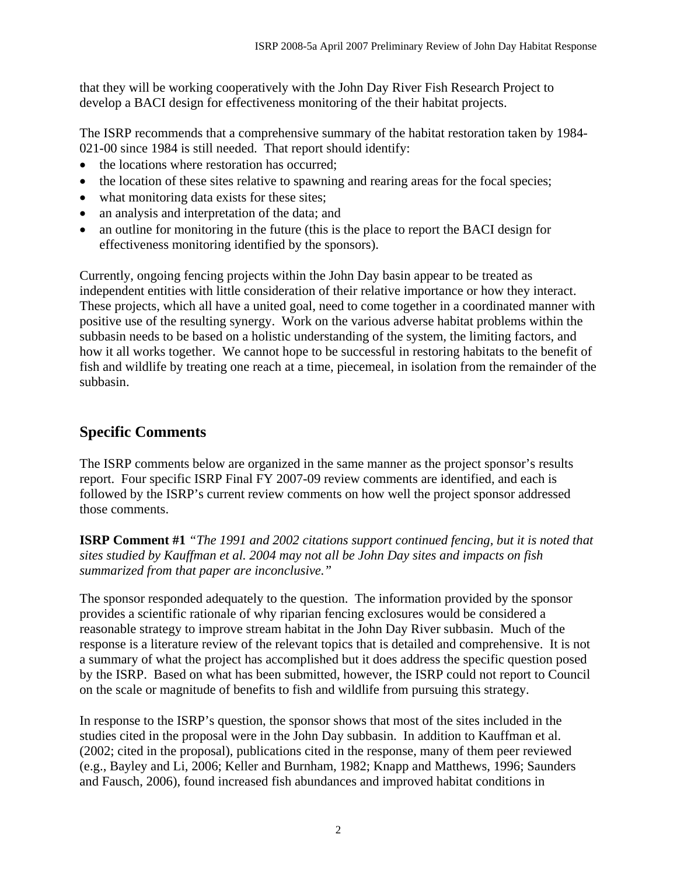that they will be working cooperatively with the John Day River Fish Research Project to develop a BACI design for effectiveness monitoring of the their habitat projects.

The ISRP recommends that a comprehensive summary of the habitat restoration taken by 1984- 021-00 since 1984 is still needed. That report should identify:

- the locations where restoration has occurred;
- the location of these sites relative to spawning and rearing areas for the focal species;
- what monitoring data exists for these sites;
- an analysis and interpretation of the data; and
- an outline for monitoring in the future (this is the place to report the BACI design for effectiveness monitoring identified by the sponsors).

Currently, ongoing fencing projects within the John Day basin appear to be treated as independent entities with little consideration of their relative importance or how they interact. These projects, which all have a united goal, need to come together in a coordinated manner with positive use of the resulting synergy. Work on the various adverse habitat problems within the subbasin needs to be based on a holistic understanding of the system, the limiting factors, and how it all works together. We cannot hope to be successful in restoring habitats to the benefit of fish and wildlife by treating one reach at a time, piecemeal, in isolation from the remainder of the subbasin.

## **Specific Comments**

The ISRP comments below are organized in the same manner as the project sponsor's results report. Four specific ISRP Final FY 2007-09 review comments are identified, and each is followed by the ISRP's current review comments on how well the project sponsor addressed those comments.

**ISRP Comment #1** *"The 1991 and 2002 citations support continued fencing, but it is noted that sites studied by Kauffman et al. 2004 may not all be John Day sites and impacts on fish summarized from that paper are inconclusive."*

The sponsor responded adequately to the question. The information provided by the sponsor provides a scientific rationale of why riparian fencing exclosures would be considered a reasonable strategy to improve stream habitat in the John Day River subbasin. Much of the response is a literature review of the relevant topics that is detailed and comprehensive. It is not a summary of what the project has accomplished but it does address the specific question posed by the ISRP. Based on what has been submitted, however, the ISRP could not report to Council on the scale or magnitude of benefits to fish and wildlife from pursuing this strategy.

In response to the ISRP's question, the sponsor shows that most of the sites included in the studies cited in the proposal were in the John Day subbasin. In addition to Kauffman et al. (2002; cited in the proposal), publications cited in the response, many of them peer reviewed (e.g., Bayley and Li, 2006; Keller and Burnham, 1982; Knapp and Matthews, 1996; Saunders and Fausch, 2006), found increased fish abundances and improved habitat conditions in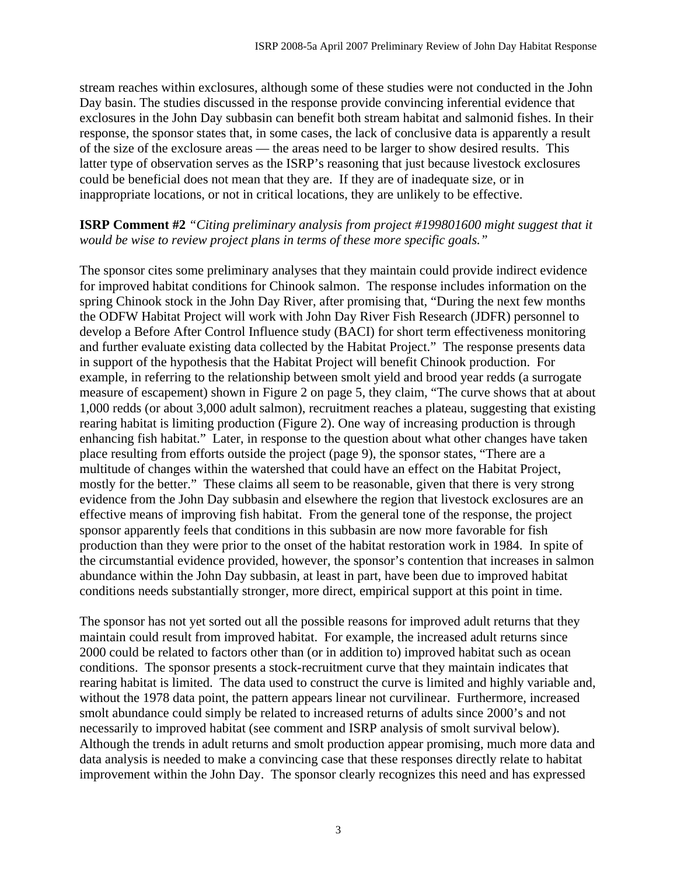stream reaches within exclosures, although some of these studies were not conducted in the John Day basin. The studies discussed in the response provide convincing inferential evidence that exclosures in the John Day subbasin can benefit both stream habitat and salmonid fishes. In their response, the sponsor states that, in some cases, the lack of conclusive data is apparently a result of the size of the exclosure areas — the areas need to be larger to show desired results. This latter type of observation serves as the ISRP's reasoning that just because livestock exclosures could be beneficial does not mean that they are. If they are of inadequate size, or in inappropriate locations, or not in critical locations, they are unlikely to be effective.

#### **ISRP Comment #2** *"Citing preliminary analysis from project #199801600 might suggest that it would be wise to review project plans in terms of these more specific goals."*

The sponsor cites some preliminary analyses that they maintain could provide indirect evidence for improved habitat conditions for Chinook salmon. The response includes information on the spring Chinook stock in the John Day River, after promising that, "During the next few months the ODFW Habitat Project will work with John Day River Fish Research (JDFR) personnel to develop a Before After Control Influence study (BACI) for short term effectiveness monitoring and further evaluate existing data collected by the Habitat Project." The response presents data in support of the hypothesis that the Habitat Project will benefit Chinook production. For example, in referring to the relationship between smolt yield and brood year redds (a surrogate measure of escapement) shown in Figure 2 on page 5, they claim, "The curve shows that at about 1,000 redds (or about 3,000 adult salmon), recruitment reaches a plateau, suggesting that existing rearing habitat is limiting production (Figure 2). One way of increasing production is through enhancing fish habitat." Later, in response to the question about what other changes have taken place resulting from efforts outside the project (page 9), the sponsor states, "There are a multitude of changes within the watershed that could have an effect on the Habitat Project, mostly for the better." These claims all seem to be reasonable, given that there is very strong evidence from the John Day subbasin and elsewhere the region that livestock exclosures are an effective means of improving fish habitat. From the general tone of the response, the project sponsor apparently feels that conditions in this subbasin are now more favorable for fish production than they were prior to the onset of the habitat restoration work in 1984. In spite of the circumstantial evidence provided, however, the sponsor's contention that increases in salmon abundance within the John Day subbasin, at least in part, have been due to improved habitat conditions needs substantially stronger, more direct, empirical support at this point in time.

The sponsor has not yet sorted out all the possible reasons for improved adult returns that they maintain could result from improved habitat. For example, the increased adult returns since 2000 could be related to factors other than (or in addition to) improved habitat such as ocean conditions. The sponsor presents a stock-recruitment curve that they maintain indicates that rearing habitat is limited. The data used to construct the curve is limited and highly variable and, without the 1978 data point, the pattern appears linear not curvilinear. Furthermore, increased smolt abundance could simply be related to increased returns of adults since 2000's and not necessarily to improved habitat (see comment and ISRP analysis of smolt survival below). Although the trends in adult returns and smolt production appear promising, much more data and data analysis is needed to make a convincing case that these responses directly relate to habitat improvement within the John Day. The sponsor clearly recognizes this need and has expressed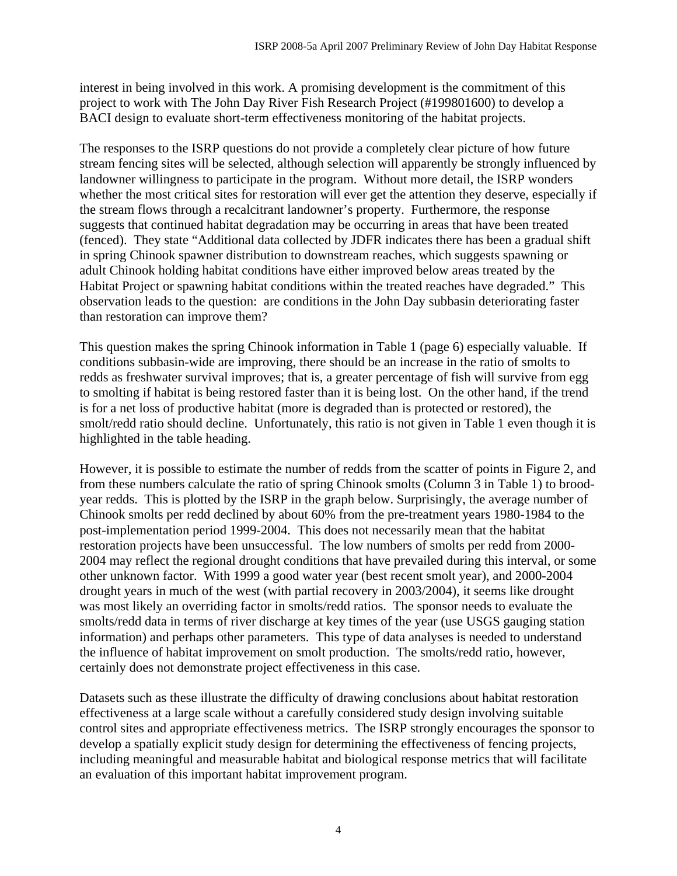interest in being involved in this work. A promising development is the commitment of this project to work with The John Day River Fish Research Project (#199801600) to develop a BACI design to evaluate short-term effectiveness monitoring of the habitat projects.

The responses to the ISRP questions do not provide a completely clear picture of how future stream fencing sites will be selected, although selection will apparently be strongly influenced by landowner willingness to participate in the program. Without more detail, the ISRP wonders whether the most critical sites for restoration will ever get the attention they deserve, especially if the stream flows through a recalcitrant landowner's property. Furthermore, the response suggests that continued habitat degradation may be occurring in areas that have been treated (fenced). They state "Additional data collected by JDFR indicates there has been a gradual shift in spring Chinook spawner distribution to downstream reaches, which suggests spawning or adult Chinook holding habitat conditions have either improved below areas treated by the Habitat Project or spawning habitat conditions within the treated reaches have degraded." This observation leads to the question: are conditions in the John Day subbasin deteriorating faster than restoration can improve them?

This question makes the spring Chinook information in Table 1 (page 6) especially valuable. If conditions subbasin-wide are improving, there should be an increase in the ratio of smolts to redds as freshwater survival improves; that is, a greater percentage of fish will survive from egg to smolting if habitat is being restored faster than it is being lost. On the other hand, if the trend is for a net loss of productive habitat (more is degraded than is protected or restored), the smolt/redd ratio should decline. Unfortunately, this ratio is not given in Table 1 even though it is highlighted in the table heading.

However, it is possible to estimate the number of redds from the scatter of points in Figure 2, and from these numbers calculate the ratio of spring Chinook smolts (Column 3 in Table 1) to broodyear redds. This is plotted by the ISRP in the graph below. Surprisingly, the average number of Chinook smolts per redd declined by about 60% from the pre-treatment years 1980-1984 to the post-implementation period 1999-2004. This does not necessarily mean that the habitat restoration projects have been unsuccessful. The low numbers of smolts per redd from 2000- 2004 may reflect the regional drought conditions that have prevailed during this interval, or some other unknown factor. With 1999 a good water year (best recent smolt year), and 2000-2004 drought years in much of the west (with partial recovery in 2003/2004), it seems like drought was most likely an overriding factor in smolts/redd ratios. The sponsor needs to evaluate the smolts/redd data in terms of river discharge at key times of the year (use USGS gauging station information) and perhaps other parameters. This type of data analyses is needed to understand the influence of habitat improvement on smolt production. The smolts/redd ratio, however, certainly does not demonstrate project effectiveness in this case.

Datasets such as these illustrate the difficulty of drawing conclusions about habitat restoration effectiveness at a large scale without a carefully considered study design involving suitable control sites and appropriate effectiveness metrics. The ISRP strongly encourages the sponsor to develop a spatially explicit study design for determining the effectiveness of fencing projects, including meaningful and measurable habitat and biological response metrics that will facilitate an evaluation of this important habitat improvement program.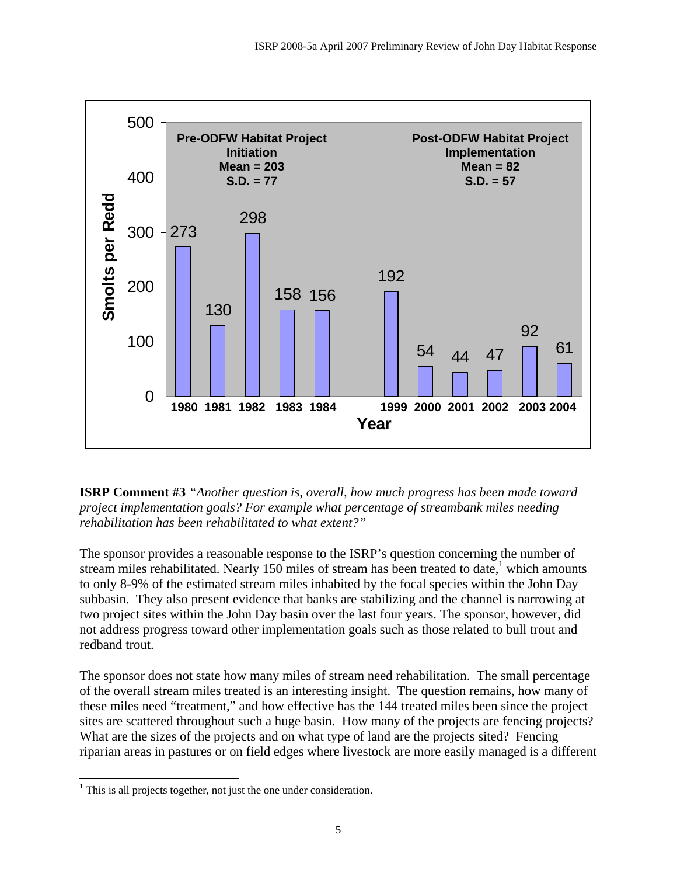

**ISRP Comment #3** *"Another question is, overall, how much progress has been made toward project implementation goals? For example what percentage of streambank miles needing rehabilitation has been rehabilitated to what extent?"*

The sponsor provides a reasonable response to the ISRP's question concerning the number of stream miles rehabilitated. Nearly 150 miles of stream has been treated to date,<sup>1</sup> which amounts to only 8-9% of the estimated stream miles inhabited by the focal species within the John Day subbasin. They also present evidence that banks are stabilizing and the channel is narrowing at two project sites within the John Day basin over the last four years. The sponsor, however, did not address progress toward other implementation goals such as those related to bull trout and redband trout.

The sponsor does not state how many miles of stream need rehabilitation. The small percentage of the overall stream miles treated is an interesting insight. The question remains, how many of these miles need "treatment," and how effective has the 144 treated miles been since the project sites are scattered throughout such a huge basin. How many of the projects are fencing projects? What are the sizes of the projects and on what type of land are the projects sited? Fencing riparian areas in pastures or on field edges where livestock are more easily managed is a different

 $\overline{a}$  $<sup>1</sup>$  This is all projects together, not just the one under consideration.</sup>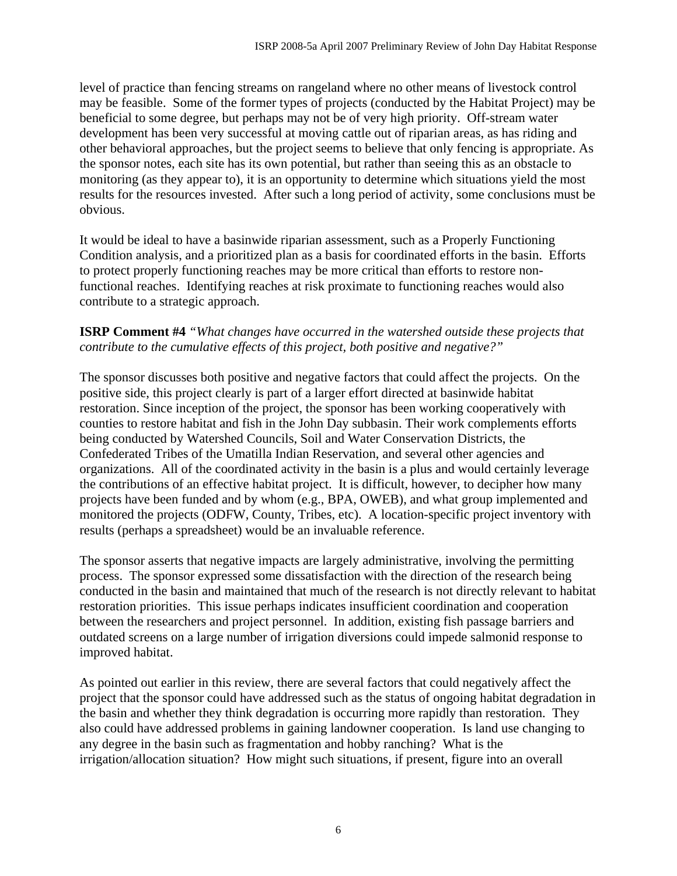level of practice than fencing streams on rangeland where no other means of livestock control may be feasible. Some of the former types of projects (conducted by the Habitat Project) may be beneficial to some degree, but perhaps may not be of very high priority. Off-stream water development has been very successful at moving cattle out of riparian areas, as has riding and other behavioral approaches, but the project seems to believe that only fencing is appropriate. As the sponsor notes, each site has its own potential, but rather than seeing this as an obstacle to monitoring (as they appear to), it is an opportunity to determine which situations yield the most results for the resources invested. After such a long period of activity, some conclusions must be obvious.

It would be ideal to have a basinwide riparian assessment, such as a Properly Functioning Condition analysis, and a prioritized plan as a basis for coordinated efforts in the basin. Efforts to protect properly functioning reaches may be more critical than efforts to restore nonfunctional reaches. Identifying reaches at risk proximate to functioning reaches would also contribute to a strategic approach.

## **ISRP Comment #4** *"What changes have occurred in the watershed outside these projects that contribute to the cumulative effects of this project, both positive and negative?"*

The sponsor discusses both positive and negative factors that could affect the projects. On the positive side, this project clearly is part of a larger effort directed at basinwide habitat restoration. Since inception of the project, the sponsor has been working cooperatively with counties to restore habitat and fish in the John Day subbasin. Their work complements efforts being conducted by Watershed Councils, Soil and Water Conservation Districts, the Confederated Tribes of the Umatilla Indian Reservation, and several other agencies and organizations. All of the coordinated activity in the basin is a plus and would certainly leverage the contributions of an effective habitat project. It is difficult, however, to decipher how many projects have been funded and by whom (e.g., BPA, OWEB), and what group implemented and monitored the projects (ODFW, County, Tribes, etc). A location-specific project inventory with results (perhaps a spreadsheet) would be an invaluable reference.

The sponsor asserts that negative impacts are largely administrative, involving the permitting process. The sponsor expressed some dissatisfaction with the direction of the research being conducted in the basin and maintained that much of the research is not directly relevant to habitat restoration priorities. This issue perhaps indicates insufficient coordination and cooperation between the researchers and project personnel. In addition, existing fish passage barriers and outdated screens on a large number of irrigation diversions could impede salmonid response to improved habitat.

As pointed out earlier in this review, there are several factors that could negatively affect the project that the sponsor could have addressed such as the status of ongoing habitat degradation in the basin and whether they think degradation is occurring more rapidly than restoration. They also could have addressed problems in gaining landowner cooperation. Is land use changing to any degree in the basin such as fragmentation and hobby ranching? What is the irrigation/allocation situation? How might such situations, if present, figure into an overall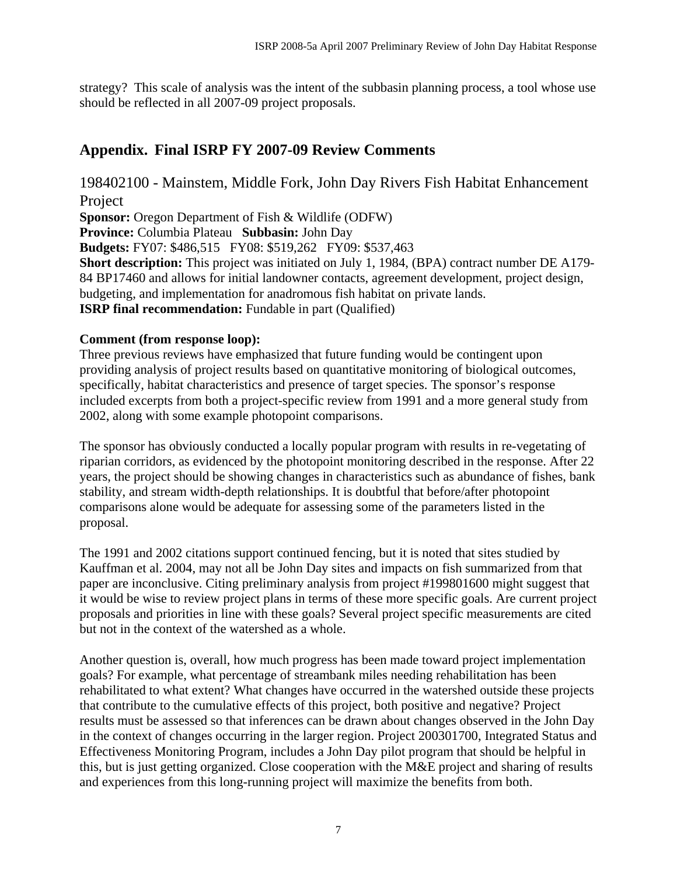strategy? This scale of analysis was the intent of the subbasin planning process, a tool whose use should be reflected in all 2007-09 project proposals.

# **Appendix. Final ISRP FY 2007-09 Review Comments**

198402100 - Mainstem, Middle Fork, John Day Rivers Fish Habitat Enhancement Project **Sponsor:** Oregon Department of Fish & Wildlife (ODFW) **Province:** Columbia Plateau **Subbasin:** John Day **Budgets:** FY07: \$486,515 FY08: \$519,262 FY09: \$537,463 **Short description:** This project was initiated on July 1, 1984, (BPA) contract number DE A179-

84 BP17460 and allows for initial landowner contacts, agreement development, project design, budgeting, and implementation for anadromous fish habitat on private lands. **ISRP final recommendation:** Fundable in part (Qualified)

### **Comment (from response loop):**

Three previous reviews have emphasized that future funding would be contingent upon providing analysis of project results based on quantitative monitoring of biological outcomes, specifically, habitat characteristics and presence of target species. The sponsor's response included excerpts from both a project-specific review from 1991 and a more general study from 2002, along with some example photopoint comparisons.

The sponsor has obviously conducted a locally popular program with results in re-vegetating of riparian corridors, as evidenced by the photopoint monitoring described in the response. After 22 years, the project should be showing changes in characteristics such as abundance of fishes, bank stability, and stream width-depth relationships. It is doubtful that before/after photopoint comparisons alone would be adequate for assessing some of the parameters listed in the proposal.

The 1991 and 2002 citations support continued fencing, but it is noted that sites studied by Kauffman et al. 2004, may not all be John Day sites and impacts on fish summarized from that paper are inconclusive. Citing preliminary analysis from project #199801600 might suggest that it would be wise to review project plans in terms of these more specific goals. Are current project proposals and priorities in line with these goals? Several project specific measurements are cited but not in the context of the watershed as a whole.

Another question is, overall, how much progress has been made toward project implementation goals? For example, what percentage of streambank miles needing rehabilitation has been rehabilitated to what extent? What changes have occurred in the watershed outside these projects that contribute to the cumulative effects of this project, both positive and negative? Project results must be assessed so that inferences can be drawn about changes observed in the John Day in the context of changes occurring in the larger region. Project 200301700, Integrated Status and Effectiveness Monitoring Program, includes a John Day pilot program that should be helpful in this, but is just getting organized. Close cooperation with the M&E project and sharing of results and experiences from this long-running project will maximize the benefits from both.